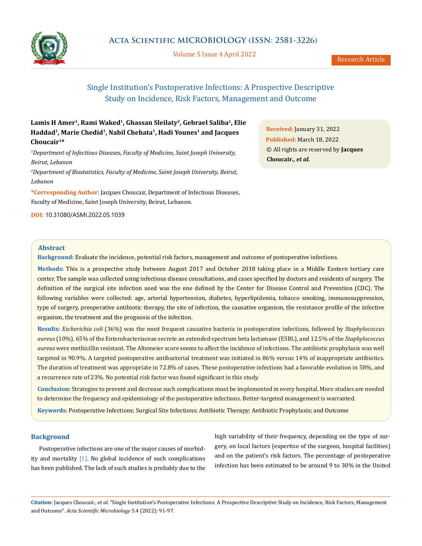

Volume 5 Issue 4 April 2022

# Single Institution's Postoperative Infections: A Prospective Descriptive Study on Incidence, Risk Factors, Management and Outcome

## **Lamis H Amer1, Rami Waked1, Ghassan Sleilaty2, Gebrael Saliba1, Elie**  Haddad<sup>1</sup>, Marie Chedid<sup>1</sup>, Nabil Chehata<sup>1</sup>, Hadi Younes<sup>1</sup> and Jacques **Choucair1\***

*1 Department of Infectious Diseases, Faculty of Medicine, Saint Joseph University, Beirut, Lebanon*

*2 Department of Biostatistics, Faculty of Medicine, Saint Joseph University, Beirut, Lebanon*

**\*Corresponding Author:** Jacques Choucair, Department of Infectious Diseases, Faculty of Medicine, Saint Joseph University, Beirut, Lebanon.

**DOI:** [10.31080/ASMI.2022.05.1039](http:// actascientific.com/ASMI/pdf/ASMI-05-1039.pdf)

**Received:** January 31, 2022 **Published:** March 18, 2022 © All rights are reserved by **Jacques Choucair***., et al.*

## **Abstract**

**Background:** Evaluate the incidence, potential risk factors, management and outcome of postoperative infections.

**Methods:** This is a prospective study between August 2017 and October 2018 taking place in a Middle Eastern tertiary care center. The sample was collected using infectious disease consultations, and cases specified by doctors and residents of surgery. The definition of the surgical site infection used was the one defined by the Center for Disease Control and Prevention (CDC). The following variables were collected: age, arterial hypertension, diabetes, hyperlipidemia, tobacco smoking, immunosuppression, type of surgery, preoperative antibiotic therapy, the site of infection, the causative organism, the resistance profile of the infective organism, the treatment and the prognosis of the infection.

**Results:** *Escherichia coli* (36%) was the most frequent causative bacteria in postoperative infections, followed by *Staphylococcus aureus* (10%). 65% of the Enterobacteriaceae secrete an extended spectrum beta lactamase (ESBL), and 12.5% of the *Staphylococcus aureus* were methicillin resistant. The Altemeier score seems to affect the incidence of infections. The antibiotic prophylaxis was well targeted in 90.9%. A targeted postoperative antibacterial treatment was initiated in 86% versus 14% of inappropriate antibiotics. The duration of treatment was appropriate in 72.8% of cases. These postoperative infections had a favorable evolution in 58%, and a recurrence rate of 23%. No potential risk factor was found significant in this study.

**Conclusion:** Strategies to prevent and decrease such complications must be implemented in every hospital. More studies are needed to determine the frequency and epidemiology of the postoperative infections. Better-targeted management is warranted.

**Keywords:** Postoperative Infections; Surgical Site Infections; Antibiotic Therapy; Antibiotic Prophylaxis; and Outcome

#### **Background**

Postoperative infections are one of the major causes of morbidity and mortality [1]. No global incidence of such complications has been published. The lack of such studies is probably due to the high variability of their frequency, depending on the type of surgery, on local factors (expertise of the surgeon, hospital facilities) and on the patient's risk factors. The percentage of postoperative infection has been estimated to be around 9 to 30% in the United

**Citation:** Jacques Choucair*., et al.* "Single Institution's Postoperative Infections: A Prospective Descriptive Study on Incidence, Risk Factors, Management and Outcome". *Acta Scientific Microbiology* 5.4 (2022): 91-97.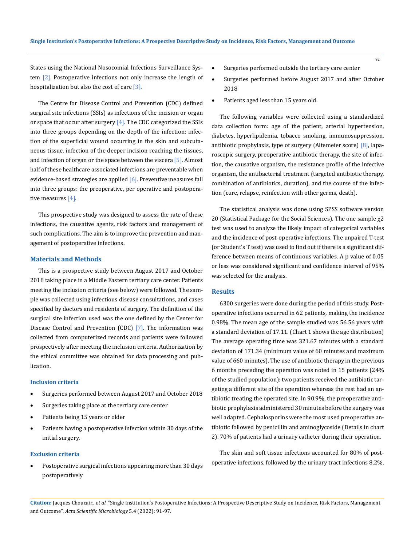States using the National Nosocomial Infections Surveillance System [2]. Postoperative infections not only increase the length of hospitalization but also the cost of care [3].

The Centre for Disease Control and Prevention (CDC) defined surgical site infections (SSIs) as infections of the incision or organ or space that occur after surgery  $[4]$ . The CDC categorized the SSIs into three groups depending on the depth of the infection: infection of the superficial wound occurring in the skin and subcutaneous tissue, infection of the deeper incision reaching the tissues, and infection of organ or the space between the viscera  $[5]$ . Almost half of these healthcare associated infections are preventable when evidence-based strategies are applied [6]. Preventive measures fall into three groups: the preoperative, per operative and postoperative measures [4].

This prospective study was designed to assess the rate of these infections, the causative agents, risk factors and management of such complications. The aim is to improve the prevention and management of postoperative infections.

### **Materials and Methods**

This is a prospective study between August 2017 and October 2018 taking place in a Middle Eastern tertiary care center. Patients meeting the inclusion criteria (see below) were followed. The sample was collected using infectious disease consultations, and cases specified by doctors and residents of surgery. The definition of the surgical site infection used was the one defined by the Center for Disease Control and Prevention (CDC) [7]. The information was collected from computerized records and patients were followed prospectively after meeting the inclusion criteria. Authorization by the ethical committee was obtained for data processing and publication.

#### **Inclusion criteria**

- Surgeries performed between August 2017 and October 2018
- • Surgeries taking place at the tertiary care center
- Patients being 15 years or older
- Patients having a postoperative infection within 30 days of the initial surgery.

#### **Exclusion criteria**

Postoperative surgical infections appearing more than 30 days postoperatively

- Surgeries performed outside the tertiary care center
- Surgeries performed before August 2017 and after October 2018
- Patients aged less than 15 years old.

The following variables were collected using a standardized data collection form: age of the patient, arterial hypertension, diabetes, hyperlipidemia, tobacco smoking, immunosuppression, antibiotic prophylaxis, type of surgery (Altemeier score) [8], laparoscopic surgery, preoperative antibiotic therapy, the site of infection, the causative organism, the resistance profile of the infective organism, the antibacterial treatment (targeted antibiotic therapy, combination of antibiotics, duration), and the course of the infection (cure, relapse, reinfection with other germs, death).

The statistical analysis was done using SPSS software version 20 (Statistical Package for the Social Sciences). The one sample χ2 test was used to analyze the likely impact of categorical variables and the incidence of post-operative infections. The unpaired T-test (or Student's T test) was used to find out if there is a significant difference between means of continuous variables. A p value of 0.05 or less was considered significant and confidence interval of 95% was selected for the analysis.

#### **Results**

6300 surgeries were done during the period of this study. Postoperative infections occurred in 62 patients, making the incidence 0.98%. The mean age of the sample studied was 56.56 years with a standard deviation of 17.11. (Chart 1 shows the age distribution) The average operating time was 321.67 minutes with a standard deviation of 171.34 (minimum value of 60 minutes and maximum value of 660 minutes). The use of antibiotic therapy in the previous 6 months preceding the operation was noted in 15 patients (24% of the studied population): two patients received the antibiotic targeting a different site of the operation whereas the rest had an antibiotic treating the operated site. In 90.9%, the preoperative antibiotic prophylaxis administered 30 minutes before the surgery was well adapted. Cephalosporins were the most used preoperative antibiotic followed by penicillin and aminoglycoside (Details in chart 2). 70% of patients had a urinary catheter during their operation.

The skin and soft tissue infections accounted for 80% of postoperative infections, followed by the urinary tract infections 8.2%,

**Citation:** Jacques Choucair*., et al.* "Single Institution's Postoperative Infections: A Prospective Descriptive Study on Incidence, Risk Factors, Management and Outcome". *Acta Scientific Microbiology* 5.4 (2022): 91-97.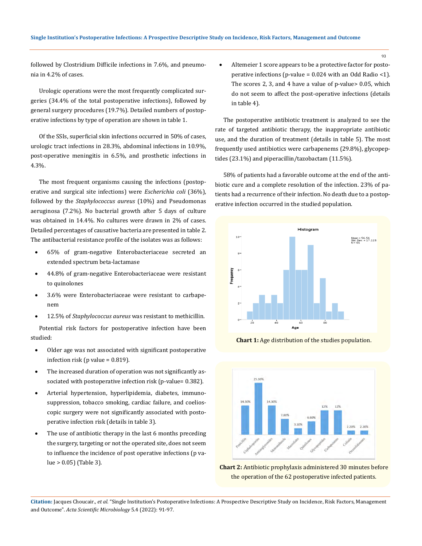followed by Clostridium Difficile infections in 7.6%, and pneumonia in 4.2% of cases.

Urologic operations were the most frequently complicated surgeries (34.4% of the total postoperative infections), followed by general surgery procedures (19.7%). Detailed numbers of postoperative infections by type of operation are shown in table 1.

Of the SSIs, superficial skin infections occurred in 50% of cases, urologic tract infections in 28.3%, abdominal infections in 10.9%, post-operative meningitis in 6.5%, and prosthetic infections in 4.3%.

The most frequent organisms causing the infections (postoperative and surgical site infections) were *Escherichia coli* (36%), followed by the *Staphylococcus aureus* (10%) and Pseudomonas aeruginosa (7.2%). No bacterial growth after 5 days of culture was obtained in 14.4%. No cultures were drawn in 2% of cases. Detailed percentages of causative bacteria are presented in table 2. The antibacterial resistance profile of the isolates was as follows:

- 65% of gram-negative Enterobacteriaceae secreted an extended spectrum beta-lactamase
- 44.8% of gram-negative Enterobacteriaceae were resistant to quinolones
- 3.6% were Enterobacteriaceae were resistant to carbapenem
- 12.5% of *Staphylococcus aureus* was resistant to methicillin.

Potential risk factors for postoperative infection have been studied:

- Older age was not associated with significant postoperative infection risk (p value = 0.819).
- The increased duration of operation was not significantly associated with postoperative infection risk (p-value= 0.382).
- Arterial hypertension, hyperlipidemia, diabetes, immunosuppression, tobacco smoking, cardiac failure, and coelioscopic surgery were not significantly associated with postoperative infection risk (details in table 3).
- The use of antibiotic therapy in the last 6 months preceding the surgery, targeting or not the operated site, does not seem to influence the incidence of post operative infections (p value > 0.05) (Table 3).

Altemeier 1 score appears to be a protective factor for postoperative infections (p-value =  $0.024$  with an Odd Radio <1). The scores 2, 3, and 4 have a value of p-value> 0.05, which do not seem to affect the post-operative infections (details in table 4).

The postoperative antibiotic treatment is analyzed to see the rate of targeted antibiotic therapy, the inappropriate antibiotic use, and the duration of treatment (details in table 5). The most frequently used antibiotics were carbapenems (29.8%), glycopeptides (23.1%) and piperacillin/tazobactam (11.5%).

58% of patients had a favorable outcome at the end of the antibiotic cure and a complete resolution of the infection. 23% of patients had a recurrence of their infection. No death due to a postoperative infection occurred in the studied population.



**Chart 1:** Age distribution of the studies population.



**Chart 2:** Antibiotic prophylaxis administered 30 minutes before the operation of the 62 postoperative infected patients.

**Citation:** Jacques Choucair*., et al.* "Single Institution's Postoperative Infections: A Prospective Descriptive Study on Incidence, Risk Factors, Management and Outcome". *Acta Scientific Microbiology* 5.4 (2022): 91-97.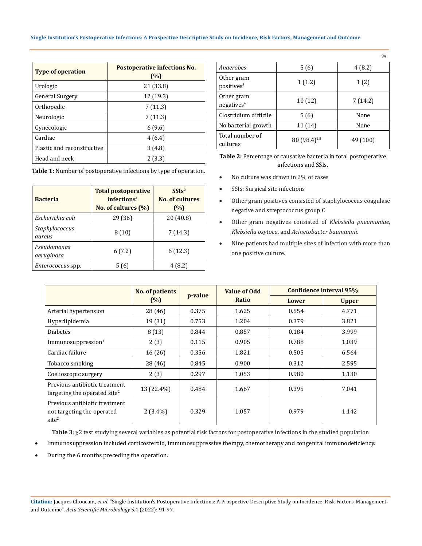#### **Single Institution's Postoperative Infections: A Prospective Descriptive Study on Incidence, Risk Factors, Management and Outcome**

| <b>Type of operation</b>   | Postoperative infections No.<br>(%) |
|----------------------------|-------------------------------------|
| Urologic                   | 21 (33.8)                           |
| <b>General Surgery</b>     | 12 (19.3)                           |
| Orthopedic                 | 7(11.3)                             |
| Neurologic                 | 7(11.3)                             |
| Gynecologic                | 6(9.6)                              |
| Cardiac                    | 4(6.4)                              |
| Plastic and reconstructive | 3(4.8)                              |
| Head and neck              | 2(3.3)                              |

**Table 1:** Number of postoperative infections by type of operation.

| <b>Bacteria</b>           | <b>Total postoperative</b><br>infections <sup>1</sup><br>No. of cultures $(\% )$ | SSIs <sup>2</sup><br><b>No. of cultures</b><br>(%) |  |
|---------------------------|----------------------------------------------------------------------------------|----------------------------------------------------|--|
| Escherichia coli          | 29 (36)                                                                          | 20(40.8)                                           |  |
| Staphylococcus<br>aureus  | 8(10)                                                                            | 7(14.3)                                            |  |
| Pseudomonas<br>aeruginosa | 6(7.2)                                                                           | 6(12.3)                                            |  |
| <i>Enterococcus</i> spp.  | 5 (6)                                                                            | 4(8.2)                                             |  |

| Anaerobes                            | 5(6)                     | 4(8.2)   |
|--------------------------------------|--------------------------|----------|
| Other gram<br>positives <sup>3</sup> | 1(1.2)                   | 1(2)     |
| Other gram<br>negatives <sup>4</sup> | 10(12)                   | 7(14.2)  |
| Clostridium difficile                | 5(6)                     | None     |
| No bacterial growth                  | 11 (14)                  | None     |
| Total number of<br>cultures          | 80 (98.4) <sup>1,5</sup> | 49 (100) |

94

**Table 2:** Percentage of causative bacteria in total postoperative infections and SSIs.

- No culture was drawn in 2% of cases
- SSIs: Surgical site infections
- • Other gram positives consisted of staphylococcus coagulase negative and streptococcus group C
- • Other gram negatives consisted of *Klebsiella pneumoniae*, *Klebsiella oxytoca*, and *Acinetobacter baumannii.*
- Nine patients had multiple sites of infection with more than one positive culture.

|                                                                                  | No. of patients | p-value |       | <b>Value of Odd</b> | Confidence interval 95% |  |
|----------------------------------------------------------------------------------|-----------------|---------|-------|---------------------|-------------------------|--|
|                                                                                  | (%)             |         | Ratio | Lower               | <b>Upper</b>            |  |
| Arterial hypertension                                                            | 28 (46)         | 0.375   | 1.625 | 0.554               | 4.771                   |  |
| Hyperlipidemia                                                                   | 19 (31)         | 0.753   | 1.204 | 0.379               | 3.821                   |  |
| <b>Diabetes</b>                                                                  | 8(13)           | 0.844   | 0.857 | 0.184               | 3.999                   |  |
| Immunosuppression <sup>1</sup>                                                   | 2(3)            | 0.115   | 0.905 | 0.788               | 1.039                   |  |
| Cardiac failure                                                                  | 16 (26)         | 0.356   | 1.821 | 0.505               | 6.564                   |  |
| Tobacco smoking                                                                  | 28 (46)         | 0.845   | 0.900 | 0.312               | 2.595                   |  |
| Coelioscopic surgery                                                             | 2(3)            | 0.297   | 1.053 | 0.980               | 1.130                   |  |
| Previous antibiotic treatment<br>targeting the operated site <sup>2</sup>        | 13 (22.4%)      | 0.484   | 1.667 | 0.395               | 7.041                   |  |
| Previous antibiotic treatment<br>not targeting the operated<br>site <sup>2</sup> | $2(3.4\%)$      | 0.329   | 1.057 | 0.979               | 1.142                   |  |

**Table 3**: χ2 test studying several variables as potential risk factors for postoperative infections in the studied population

- Immunosuppression included corticosteroid, immunosuppressive therapy, chemotherapy and congenital immunodeficiency.
- During the 6 months preceding the operation.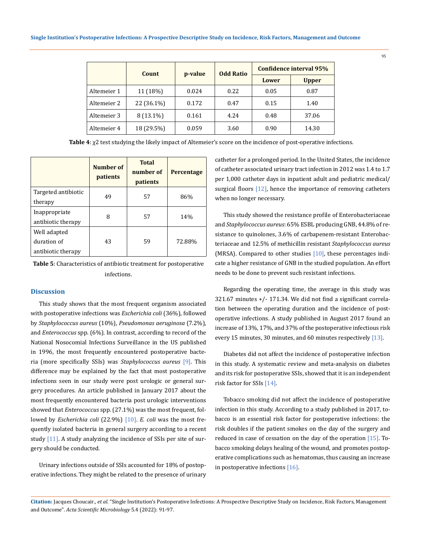|             | Count       | p-value | <b>Odd Ratio</b> | Confidence interval 95% |              |
|-------------|-------------|---------|------------------|-------------------------|--------------|
|             |             |         |                  | Lower                   | <b>Upper</b> |
| Altemeier 1 | 11 (18%)    | 0.024   | 0.22             | 0.05                    | 0.87         |
| Altemeier 2 | 22 (36.1%)  | 0.172   | 0.47             | 0.15                    | 1.40         |
| Altemeier 3 | $8(13.1\%)$ | 0.161   | 4.24             | 0.48                    | 37.06        |
| Altemeier 4 | 18 (29.5%)  | 0.059   | 3.60             | 0.90                    | 14.30        |

**Table 4**: χ2 test studying the likely impact of Altemeier's score on the incidence of post-operative infections.

|                                                   | Number of<br>patients | <b>Total</b><br>number of<br>patients | Percentage |
|---------------------------------------------------|-----------------------|---------------------------------------|------------|
| Targeted antibiotic<br>therapy                    | 49                    | 57                                    | 86%        |
| Inappropriate<br>antibiotic therapy               | 8                     | 57                                    | 14%        |
| Well adapted<br>duration of<br>antibiotic therapy | 43                    | 59                                    | 72.88%     |

**Table 5**: Characteristics of antibiotic treatment for postoperative infections.

## **Discussion**

This study shows that the most frequent organism associated with postoperative infections was *Escherichia coli* (36%), followed by *Staphylococcus aureus* (10%), *Pseudomonas aeruginosa* (7.2%), and *Enterococcus* spp. (6%). In contrast, according to record of the National Nosocomial Infections Surveillance in the US published in 1996, the most frequently encountered postoperative bacteria (more specifically SSIs) was *Staphylococcus aureus* [9]. This difference may be explained by the fact that most postoperative infections seen in our study were post urologic or general surgery procedures. An article published in January 2017 about the most frequently encountered bacteria post urologic interventions showed that *Enterococcus* spp. (27.1%) was the most frequent, followed by *Escherichia coli* (22.9%) [10]. *E. coli* was the most frequently isolated bacteria in general surgery according to a recent study [11]. A study analyzing the incidence of SSIs per site of surgery should be conducted.

Urinary infections outside of SSIs accounted for 18% of postoperative infections. They might be related to the presence of urinary catheter for a prolonged period. In the United States, the incidence of catheter associated urinary tract infection in 2012 was 1.4 to 1.7 per 1,000 catheter days in inpatient adult and pediatric medical/ surgical floors [12], hence the importance of removing catheters when no longer necessary.

This study showed the resistance profile of Enterobacteriaceae and *Staphylococcus aureus*: 65% ESBL producing GNB, 44.8% of resistance to quinolones, 3.6% of carbapenem-resistant Enterobacteriaceae and 12.5% of methicillin resistant *Staphylococcus aureus* (MRSA). Compared to other studies  $[10]$ , these percentages indicate a higher resistance of GNB in the studied population. An effort needs to be done to prevent such resistant infections.

Regarding the operating time, the average in this study was 321.67 minutes +/- 171.34. We did not find a significant correlation between the operating duration and the incidence of postoperative infections. A study published in August 2017 found an increase of 13%, 17%, and 37% of the postoperative infectious risk every 15 minutes, 30 minutes, and 60 minutes respectively [13].

Diabetes did not affect the incidence of postoperative infection in this study. A systematic review and meta-analysis on diabetes and its risk for postoperative SSIs, showed that it is an independent risk factor for SSIs [14].

Tobacco smoking did not affect the incidence of postoperative infection in this study. According to a study published in 2017, tobacco is an essential risk factor for postoperative infections: the risk doubles if the patient smokes on the day of the surgery and reduced in case of cessation on the day of the operation [15]. Tobacco smoking delays healing of the wound, and promotes postoperative complications such as hematomas, thus causing an increase in postoperative infections [16].

**Citation:** Jacques Choucair*., et al.* "Single Institution's Postoperative Infections: A Prospective Descriptive Study on Incidence, Risk Factors, Management and Outcome". *Acta Scientific Microbiology* 5.4 (2022): 91-97.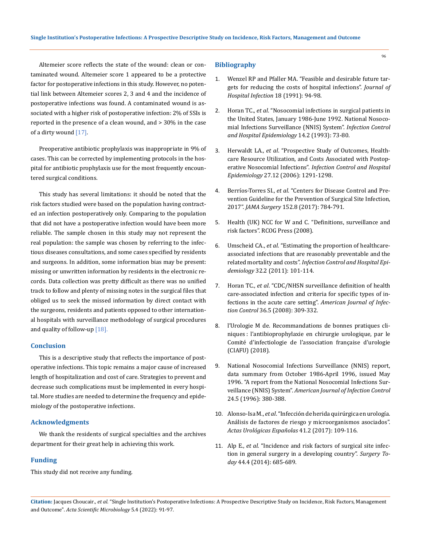Altemeier score reflects the state of the wound: clean or contaminated wound. Altemeier score 1 appeared to be a protective factor for postoperative infections in this study. However, no potential link between Altemeier scores 2, 3 and 4 and the incidence of postoperative infections was found. A contaminated wound is associated with a higher risk of postoperative infection: 2% of SSIs is reported in the presence of a clean wound, and > 30% in the case of a dirty wound [17].

Preoperative antibiotic prophylaxis was inappropriate in 9% of cases. This can be corrected by implementing protocols in the hospital for antibiotic prophylaxis use for the most frequently encountered surgical conditions.

This study has several limitations: it should be noted that the risk factors studied were based on the population having contracted an infection postoperatively only. Comparing to the population that did not have a postoperative infection would have been more reliable. The sample chosen in this study may not represent the real population: the sample was chosen by referring to the infectious diseases consultations, and some cases specified by residents and surgeons. In addition, some information bias may be present: missing or unwritten information by residents in the electronic records. Data collection was pretty difficult as there was no unified track to follow and plenty of missing notes in the surgical files that obliged us to seek the missed information by direct contact with the surgeons, residents and patients opposed to other international hospitals with surveillance methodology of surgical procedures and quality of follow-up  $[18]$ .

#### **Conclusion**

This is a descriptive study that reflects the importance of postoperative infections. This topic remains a major cause of increased length of hospitalization and cost of care. Strategies to prevent and decrease such complications must be implemented in every hospital. More studies are needed to determine the frequency and epidemiology of the postoperative infections.

## **Acknowledgments**

We thank the residents of surgical specialties and the archives department for their great help in achieving this work.

#### **Funding**

This study did not receive any funding.

#### **Bibliography**

1. [Wenzel RP and Pfaller MA. "Feasible and desirable future tar](https://www.sciencedirect.com/science/article/abs/pii/019567019190009W)[gets for reducing the costs of hospital infections".](https://www.sciencedirect.com/science/article/abs/pii/019567019190009W) *Journal of [Hospital Infection](https://www.sciencedirect.com/science/article/abs/pii/019567019190009W)* 18 (1991): 94-98.

- 2. Horan TC., *et al*[. "Nosocomial infections in surgical patients in](https://pubmed.ncbi.nlm.nih.gov/8440883/)  [the United States, January 1986-June 1992. National Nosoco](https://pubmed.ncbi.nlm.nih.gov/8440883/)[mial Infections Surveillance \(NNIS\) System".](https://pubmed.ncbi.nlm.nih.gov/8440883/) *Infection Control [and Hospital Epidemiology](https://pubmed.ncbi.nlm.nih.gov/8440883/)* 14.2 (1993): 73-80.
- 3. Herwaldt LA., *et al*[. "Prospective Study of Outcomes, Health](https://pubmed.ncbi.nlm.nih.gov/17152025/)[care Resource Utilization, and Costs Associated with Postop](https://pubmed.ncbi.nlm.nih.gov/17152025/)erative Nosocomial Infections". *[Infection Control and Hospital](https://pubmed.ncbi.nlm.nih.gov/17152025/)  Epidemiology* [27.12 \(2006\): 1291-1298.](https://pubmed.ncbi.nlm.nih.gov/17152025/)
- 4. Berríos-Torres SI., *et al*[. "Centers for Disease Control and Pre](https://jamanetwork.com/journals/jamasurgery/fullarticle/2623725)[vention Guideline for the Prevention of Surgical Site Infection,](https://jamanetwork.com/journals/jamasurgery/fullarticle/2623725)  2017". *JAMA Surgery* [152.8 \(2017\): 784-791.](https://jamanetwork.com/journals/jamasurgery/fullarticle/2623725)
- 5. [Health \(UK\) NCC for W and C. "Definitions, surveillance and](https://www.ncbi.nlm.nih.gov/books/NBK53724/)  [risk factors". RCOG Press \(2008\).](https://www.ncbi.nlm.nih.gov/books/NBK53724/)
- 6. Umscheid CA., *et al*[. "Estimating the proportion of healthcare](https://pubmed.ncbi.nlm.nih.gov/21460463/)[associated infections that are reasonably preventable and the](https://pubmed.ncbi.nlm.nih.gov/21460463/)  related mortality and costs". *[Infection Control and Hospital Epi](https://pubmed.ncbi.nlm.nih.gov/21460463/)demiology* [32.2 \(2011\): 101-114.](https://pubmed.ncbi.nlm.nih.gov/21460463/)
- 7. Horan TC., *et al*[. "CDC/NHSN surveillance definition of health](https://pubmed.ncbi.nlm.nih.gov/18538699/)  [care-associated infection and criteria for specific types of in](https://pubmed.ncbi.nlm.nih.gov/18538699/)[fections in the acute care setting".](https://pubmed.ncbi.nlm.nih.gov/18538699/) *American Journal of Infection Control* [36.5 \(2008\): 309-332.](https://pubmed.ncbi.nlm.nih.gov/18538699/)
- 8. [l'Urologie M de. Recommandations de bonnes pratiques cli](https://www.urofrance.org/base-bibliographique/recommandations-de-bonnes-pratiques-cliniques-lantibioprophylaxie-en-chirurgie)[niques : l'antibioprophylaxie en chirurgie urologique, par le](https://www.urofrance.org/base-bibliographique/recommandations-de-bonnes-pratiques-cliniques-lantibioprophylaxie-en-chirurgie)  [Comité d'infectiologie de l'association française d'urologie](https://www.urofrance.org/base-bibliographique/recommandations-de-bonnes-pratiques-cliniques-lantibioprophylaxie-en-chirurgie)  [\(CIAFU\) \(2018\).](https://www.urofrance.org/base-bibliographique/recommandations-de-bonnes-pratiques-cliniques-lantibioprophylaxie-en-chirurgie)
- 9. National Nosocomial Infections Surveillance (NNIS) report, data summary from October 1986-April 1996, issued May 1996. "A report from the National Nosocomial Infections Surveillance (NNIS) System". *American Journal of Infection Control* 24.5 (1996): 380-388.
- 10. Alonso-Isa M., *et al*[. "Infección de herida quirúrgica en urología.](https://www.elsevier.es/es-revista-actas-urologicas-espanolas-292-articulo-infeccion-herida-quirurgica-urologia-analisis-S0210480616301152)  [Análisis de factores de riesgo y microorganismos asociados".](https://www.elsevier.es/es-revista-actas-urologicas-espanolas-292-articulo-infeccion-herida-quirurgica-urologia-analisis-S0210480616301152)  *[Actas Urológicas Españolas](https://www.elsevier.es/es-revista-actas-urologicas-espanolas-292-articulo-infeccion-herida-quirurgica-urologia-analisis-S0210480616301152)* 41.2 (2017): 109-116.
- 11. Alp E., *et al*[. "Incidence and risk factors of surgical site infec](https://pubmed.ncbi.nlm.nih.gov/24000102/)[tion in general surgery in a developing country".](https://pubmed.ncbi.nlm.nih.gov/24000102/) *Surgery Today* [44.4 \(2014\): 685-689.](https://pubmed.ncbi.nlm.nih.gov/24000102/)

**Citation:** Jacques Choucair*., et al.* "Single Institution's Postoperative Infections: A Prospective Descriptive Study on Incidence, Risk Factors, Management and Outcome". *Acta Scientific Microbiology* 5.4 (2022): 91-97.